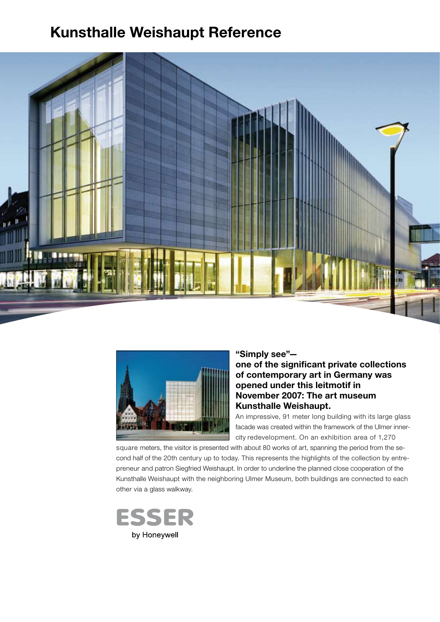# **Kunsthalle Weishaupt Reference**





## **"Simply see"—**

**one of the significant private collections of contemporary art in Germany was opened under this leitmotif in November 2007: The art museum Kunsthalle Weishaupt.** 

An impressive, 91 meter long building with its large glass facade was created within the framework of the Ulmer innercity redevelopment. On an exhibition area of 1,270

square meters, the visitor is presented with about 80 works of art, spanning the period from the second half of the 20th century up to today. This represents the highlights of the collection by entrepreneur and patron Siegfried Weishaupt. In order to underline the planned close cooperation of the Kunsthalle Weishaupt with the neighboring Ulmer Museum, both buildings are connected to each other via a glass walkway.